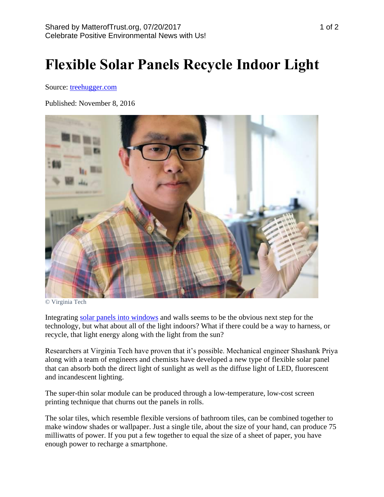## **Flexible Solar Panels Recycle Indoor Light**

Source: [treehugger.com](https://www.treehugger.com/solar-technology/flexible-solar-panels-recycle-indoor-light.html)

Published: November 8, 2016



© Virginia Tech

Integrating [solar panels into windows](http://www.treehugger.com/solar-technology/architects-rejoice-your-all-glass-towers-could-become-giant-transparent-solar-cells.html) and walls seems to be the obvious next step for the technology, but what about all of the light indoors? What if there could be a way to harness, or recycle, that light energy along with the light from the sun?

Researchers at Virginia Tech have proven that it's possible. Mechanical engineer Shashank Priya along with a team of engineers and chemists have developed a new type of flexible solar panel that can absorb both the direct light of sunlight as well as the diffuse light of LED, fluorescent and incandescent lighting.

The super-thin solar module can be produced through a low-temperature, low-cost screen printing technique that churns out the panels in rolls.

The solar tiles, which resemble flexible versions of bathroom tiles, can be combined together to make window shades or wallpaper. Just a single tile, about the size of your hand, can produce 75 milliwatts of power. If you put a few together to equal the size of a sheet of paper, you have enough power to recharge a smartphone.